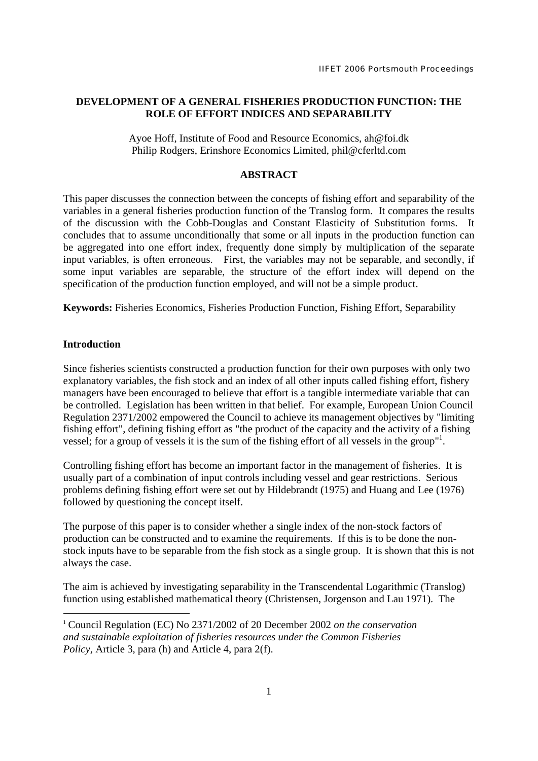# **DEVELOPMENT OF A GENERAL FISHERIES PRODUCTION FUNCTION: THE ROLE OF EFFORT INDICES AND SEPARABILITY**

Ayoe Hoff, Institute of Food and Resource Economics, ah@foi.dk Philip Rodgers, Erinshore Economics Limited, phil@cferltd.com

# **ABSTRACT**

This paper discusses the connection between the concepts of fishing effort and separability of the variables in a general fisheries production function of the Translog form. It compares the results of the discussion with the Cobb-Douglas and Constant Elasticity of Substitution forms. It concludes that to assume unconditionally that some or all inputs in the production function can be aggregated into one effort index, frequently done simply by multiplication of the separate input variables, is often erroneous. First, the variables may not be separable, and secondly, if some input variables are separable, the structure of the effort index will depend on the specification of the production function employed, and will not be a simple product.

**Keywords:** Fisheries Economics, Fisheries Production Function, Fishing Effort, Separability

# **Introduction**

-

Since fisheries scientists constructed a production function for their own purposes with only two explanatory variables, the fish stock and an index of all other inputs called fishing effort, fishery managers have been encouraged to believe that effort is a tangible intermediate variable that can be controlled. Legislation has been written in that belief. For example, European Union Council Regulation 2371/2002 empowered the Council to achieve its management objectives by "limiting fishing effort", defining fishing effort as "the product of the capacity and the activity of a fishing vessel; for a group of vessels it is the sum of the fishing effort of all vessels in the group"<sup>1</sup>.

Controlling fishing effort has become an important factor in the management of fisheries. It is usually part of a combination of input controls including vessel and gear restrictions. Serious problems defining fishing effort were set out by Hildebrandt (1975) and Huang and Lee (1976) followed by questioning the concept itself.

The purpose of this paper is to consider whether a single index of the non-stock factors of production can be constructed and to examine the requirements. If this is to be done the nonstock inputs have to be separable from the fish stock as a single group. It is shown that this is not always the case.

The aim is achieved by investigating separability in the Transcendental Logarithmic (Translog) function using established mathematical theory (Christensen, Jorgenson and Lau 1971). The

<sup>1</sup> Council Regulation (EC) No 2371/2002 of 20 December 2002 *on the conservation and sustainable exploitation of fisheries resources under the Common Fisheries Policy*, Article 3, para (h) and Article 4, para 2(f).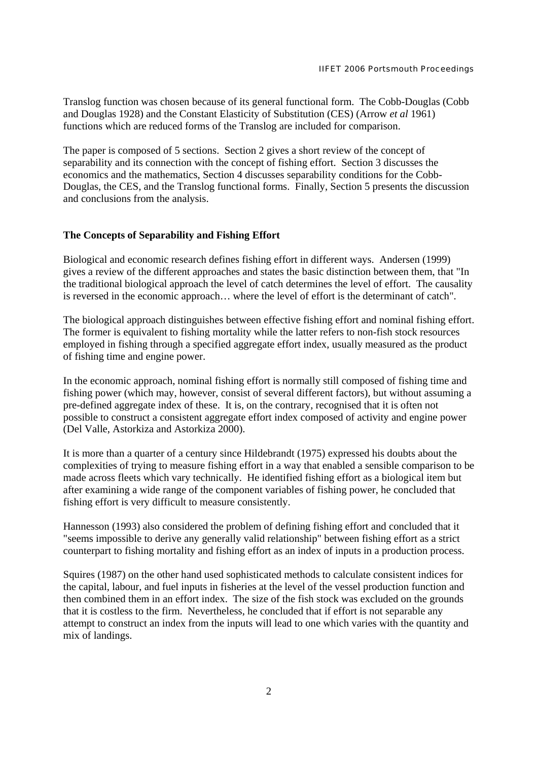Translog function was chosen because of its general functional form. The Cobb-Douglas (Cobb and Douglas 1928) and the Constant Elasticity of Substitution (CES) (Arrow *et al* 1961) functions which are reduced forms of the Translog are included for comparison.

The paper is composed of 5 sections. Section 2 gives a short review of the concept of separability and its connection with the concept of fishing effort. Section 3 discusses the economics and the mathematics, Section 4 discusses separability conditions for the Cobb-Douglas, the CES, and the Translog functional forms. Finally, Section 5 presents the discussion and conclusions from the analysis.

# **The Concepts of Separability and Fishing Effort**

Biological and economic research defines fishing effort in different ways. Andersen (1999) gives a review of the different approaches and states the basic distinction between them, that "In the traditional biological approach the level of catch determines the level of effort. The causality is reversed in the economic approach… where the level of effort is the determinant of catch".

The biological approach distinguishes between effective fishing effort and nominal fishing effort. The former is equivalent to fishing mortality while the latter refers to non-fish stock resources employed in fishing through a specified aggregate effort index, usually measured as the product of fishing time and engine power.

In the economic approach, nominal fishing effort is normally still composed of fishing time and fishing power (which may, however, consist of several different factors), but without assuming a pre-defined aggregate index of these. It is, on the contrary, recognised that it is often not possible to construct a consistent aggregate effort index composed of activity and engine power (Del Valle, Astorkiza and Astorkiza 2000).

It is more than a quarter of a century since Hildebrandt (1975) expressed his doubts about the complexities of trying to measure fishing effort in a way that enabled a sensible comparison to be made across fleets which vary technically. He identified fishing effort as a biological item but after examining a wide range of the component variables of fishing power, he concluded that fishing effort is very difficult to measure consistently.

Hannesson (1993) also considered the problem of defining fishing effort and concluded that it "seems impossible to derive any generally valid relationship" between fishing effort as a strict counterpart to fishing mortality and fishing effort as an index of inputs in a production process.

Squires (1987) on the other hand used sophisticated methods to calculate consistent indices for the capital, labour, and fuel inputs in fisheries at the level of the vessel production function and then combined them in an effort index. The size of the fish stock was excluded on the grounds that it is costless to the firm. Nevertheless, he concluded that if effort is not separable any attempt to construct an index from the inputs will lead to one which varies with the quantity and mix of landings.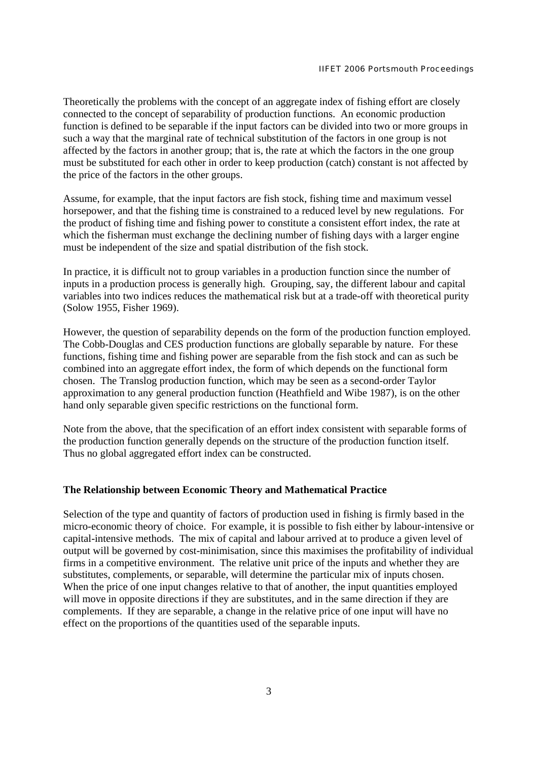Theoretically the problems with the concept of an aggregate index of fishing effort are closely connected to the concept of separability of production functions. An economic production function is defined to be separable if the input factors can be divided into two or more groups in such a way that the marginal rate of technical substitution of the factors in one group is not affected by the factors in another group; that is, the rate at which the factors in the one group must be substituted for each other in order to keep production (catch) constant is not affected by the price of the factors in the other groups.

Assume, for example, that the input factors are fish stock, fishing time and maximum vessel horsepower, and that the fishing time is constrained to a reduced level by new regulations. For the product of fishing time and fishing power to constitute a consistent effort index, the rate at which the fisherman must exchange the declining number of fishing days with a larger engine must be independent of the size and spatial distribution of the fish stock.

In practice, it is difficult not to group variables in a production function since the number of inputs in a production process is generally high. Grouping, say, the different labour and capital variables into two indices reduces the mathematical risk but at a trade-off with theoretical purity (Solow 1955, Fisher 1969).

However, the question of separability depends on the form of the production function employed. The Cobb-Douglas and CES production functions are globally separable by nature. For these functions, fishing time and fishing power are separable from the fish stock and can as such be combined into an aggregate effort index, the form of which depends on the functional form chosen. The Translog production function, which may be seen as a second-order Taylor approximation to any general production function (Heathfield and Wibe 1987), is on the other hand only separable given specific restrictions on the functional form.

Note from the above, that the specification of an effort index consistent with separable forms of the production function generally depends on the structure of the production function itself. Thus no global aggregated effort index can be constructed.

## **The Relationship between Economic Theory and Mathematical Practice**

Selection of the type and quantity of factors of production used in fishing is firmly based in the micro-economic theory of choice. For example, it is possible to fish either by labour-intensive or capital-intensive methods. The mix of capital and labour arrived at to produce a given level of output will be governed by cost-minimisation, since this maximises the profitability of individual firms in a competitive environment. The relative unit price of the inputs and whether they are substitutes, complements, or separable, will determine the particular mix of inputs chosen. When the price of one input changes relative to that of another, the input quantities employed will move in opposite directions if they are substitutes, and in the same direction if they are complements. If they are separable, a change in the relative price of one input will have no effect on the proportions of the quantities used of the separable inputs.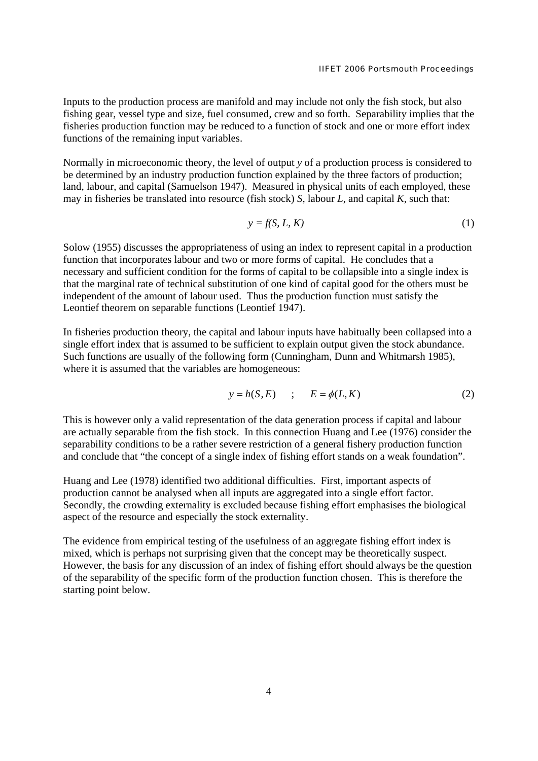Inputs to the production process are manifold and may include not only the fish stock, but also fishing gear, vessel type and size, fuel consumed, crew and so forth. Separability implies that the fisheries production function may be reduced to a function of stock and one or more effort index functions of the remaining input variables.

Normally in microeconomic theory, the level of output *y* of a production process is considered to be determined by an industry production function explained by the three factors of production; land, labour, and capital (Samuelson 1947). Measured in physical units of each employed, these may in fisheries be translated into resource (fish stock) *S*, labour *L*, and capital *K*, such that:

$$
y = f(S, L, K) \tag{1}
$$

Solow (1955) discusses the appropriateness of using an index to represent capital in a production function that incorporates labour and two or more forms of capital. He concludes that a necessary and sufficient condition for the forms of capital to be collapsible into a single index is that the marginal rate of technical substitution of one kind of capital good for the others must be independent of the amount of labour used. Thus the production function must satisfy the Leontief theorem on separable functions (Leontief 1947).

In fisheries production theory, the capital and labour inputs have habitually been collapsed into a single effort index that is assumed to be sufficient to explain output given the stock abundance. Such functions are usually of the following form (Cunningham, Dunn and Whitmarsh 1985), where it is assumed that the variables are homogeneous:

$$
y = h(S, E) \qquad ; \qquad E = \phi(L, K) \tag{2}
$$

This is however only a valid representation of the data generation process if capital and labour are actually separable from the fish stock. In this connection Huang and Lee (1976) consider the separability conditions to be a rather severe restriction of a general fishery production function and conclude that "the concept of a single index of fishing effort stands on a weak foundation".

Huang and Lee (1978) identified two additional difficulties. First, important aspects of production cannot be analysed when all inputs are aggregated into a single effort factor. Secondly, the crowding externality is excluded because fishing effort emphasises the biological aspect of the resource and especially the stock externality.

The evidence from empirical testing of the usefulness of an aggregate fishing effort index is mixed, which is perhaps not surprising given that the concept may be theoretically suspect. However, the basis for any discussion of an index of fishing effort should always be the question of the separability of the specific form of the production function chosen. This is therefore the starting point below.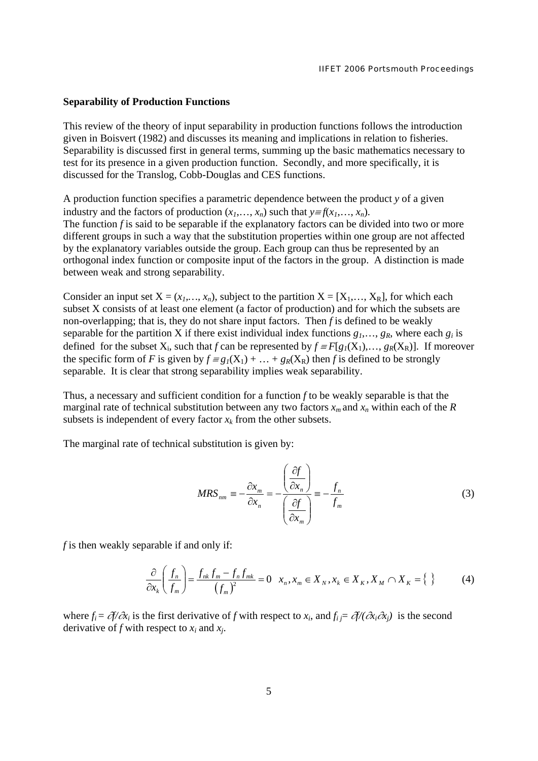### **Separability of Production Functions**

This review of the theory of input separability in production functions follows the introduction given in Boisvert (1982) and discusses its meaning and implications in relation to fisheries. Separability is discussed first in general terms, summing up the basic mathematics necessary to test for its presence in a given production function. Secondly, and more specifically, it is discussed for the Translog, Cobb-Douglas and CES functions.

A production function specifies a parametric dependence between the product *y* of a given industry and the factors of production  $(x_1, \ldots, x_n)$  such that  $y \equiv f(x_1, \ldots, x_n)$ . The function *f* is said to be separable if the explanatory factors can be divided into two or more different groups in such a way that the substitution properties within one group are not affected by the explanatory variables outside the group. Each group can thus be represented by an orthogonal index function or composite input of the factors in the group. A distinction is made between weak and strong separability.

Consider an input set  $X = (x_1, ..., x_n)$ , subject to the partition  $X = [X_1, ..., X_R]$ , for which each subset X consists of at least one element (a factor of production) and for which the subsets are non-overlapping; that is, they do not share input factors. Then *f* is defined to be weakly separable for the partition X if there exist individual index functions  $g_1, \ldots, g_R$ , where each  $g_i$  is defined for the subset  $X_i$ , such that *f* can be represented by  $f = F[g_1(X_1),..., g_R(X_R)]$ . If moreover the specific form of *F* is given by  $f = g_1(X_1) + ... + g_k(X_k)$  then *f* is defined to be strongly separable. It is clear that strong separability implies weak separability.

Thus, a necessary and sufficient condition for a function *f* to be weakly separable is that the marginal rate of technical substitution between any two factors  $x_m$  and  $x_n$  within each of the *R* subsets is independent of every factor  $x_k$  from the other subsets.

The marginal rate of technical substitution is given by:

$$
MRS_{nm} = -\frac{\partial x_m}{\partial x_n} = -\frac{\left(\frac{\partial f}{\partial x_n}\right)}{\left(\frac{\partial f}{\partial x_m}\right)} = -\frac{f_n}{f_m}
$$
(3)

*f* is then weakly separable if and only if:

$$
\frac{\partial}{\partial x_k} \left( \frac{f_n}{f_m} \right) = \frac{f_{nk} f_m - f_n f_{mk}}{(f_m)^2} = 0 \quad x_n, x_m \in X_N, x_k \in X_K, X_M \cap X_K = \{ \}
$$
 (4)

where  $f_i = \partial f / \partial x_i$  is the first derivative of *f* with respect to  $x_i$ , and  $f_i = \partial f / (\partial x_i \partial x_j)$  is the second derivative of *f* with respect to *xi* and *xj*.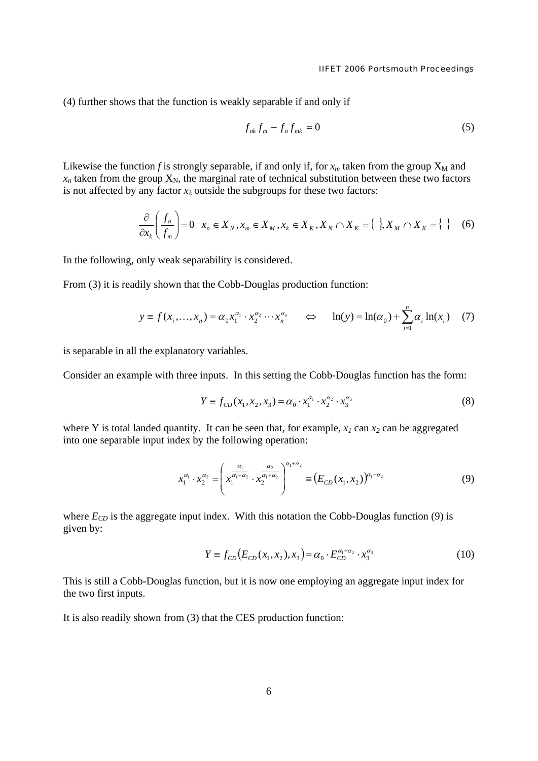(4) further shows that the function is weakly separable if and only if

$$
f_{nk}f_m - f_n f_{mk} = 0 \tag{5}
$$

Likewise the function *f* is strongly separable, if and only if, for  $x_m$  taken from the group  $X_M$  and  $x_n$  taken from the group  $X_N$ , the marginal rate of technical substitution between these two factors is not affected by any factor  $x_k$  outside the subgroups for these two factors:

$$
\frac{\partial}{\partial x_k} \left( \frac{f_n}{f_m} \right) = 0 \quad x_n \in X_N, x_m \in X_M, x_k \in X_K, X_N \cap X_K = \{ \}, X_M \cap X_K = \{ \} \tag{6}
$$

In the following, only weak separability is considered.

From (3) it is readily shown that the Cobb-Douglas production function:

$$
y \equiv f(x_i, \dots, x_n) = \alpha_0 x_1^{\alpha_1} \cdot x_2^{\alpha_2} \cdots x_n^{\alpha_n} \qquad \Leftrightarrow \qquad \ln(y) = \ln(\alpha_0) + \sum_{i=1}^n \alpha_i \ln(x_i) \tag{7}
$$

is separable in all the explanatory variables.

Consider an example with three inputs. In this setting the Cobb-Douglas function has the form:

$$
Y \equiv f_{CD}(x_1, x_2, x_3) = \alpha_0 \cdot x_1^{\alpha_1} \cdot x_2^{\alpha_2} \cdot x_3^{\alpha_3} \tag{8}
$$

where Y is total landed quantity. It can be seen that, for example,  $x_1$  can  $x_2$  can be aggregated into one separable input index by the following operation:

$$
x_1^{\alpha_1} \cdot x_2^{\alpha_2} = \left( x_1^{\frac{\alpha_1}{\alpha_1 + \alpha_2}} \cdot x_2^{\frac{\alpha_2}{\alpha_1 + \alpha_2}} \right)^{\alpha_1 + \alpha_2} \equiv \left( E_{CD} (x_1, x_2) \right)^{\alpha_1 + \alpha_2} \tag{9}
$$

where  $E_{CD}$  is the aggregate input index. With this notation the Cobb-Douglas function (9) is given by:

$$
Y \equiv f_{CD}(E_{CD}(x_1, x_2), x_3) = \alpha_0 \cdot E_{CD}^{\alpha_1 + \alpha_2} \cdot x_3^{\alpha_3} \tag{10}
$$

This is still a Cobb-Douglas function, but it is now one employing an aggregate input index for the two first inputs.

It is also readily shown from (3) that the CES production function: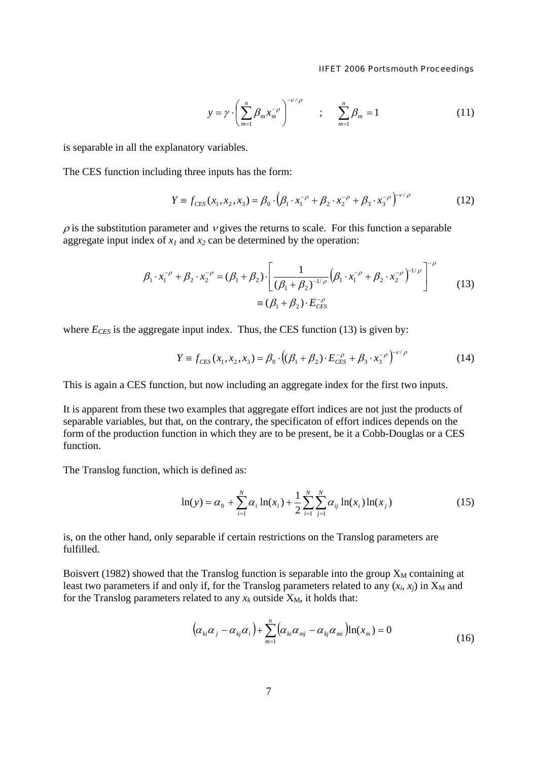$$
y = \gamma \cdot \left( \sum_{m=1}^{n} \beta_m x_m^{-\rho} \right)^{-\nu/\rho}
$$
 ;  $\sum_{m=1}^{n} \beta_m = 1$  (11)

is separable in all the explanatory variables.

The CES function including three inputs has the form:

$$
Y \equiv f_{CES}(x_1, x_2, x_3) = \beta_0 \cdot (\beta_1 \cdot x_1^{-\rho} + \beta_2 \cdot x_2^{-\rho} + \beta_3 \cdot x_3^{-\rho})^{-\nu/\rho}
$$
(12)

 $\rho$  is the substitution parameter and  $\nu$  gives the returns to scale. For this function a separable aggregate input index of  $x_1$  and  $x_2$  can be determined by the operation:

$$
\beta_1 \cdot x_1^{-\rho} + \beta_2 \cdot x_2^{-\rho} = (\beta_1 + \beta_2) \cdot \left[ \frac{1}{(\beta_1 + \beta_2)^{-1/\rho}} \left( \beta_1 \cdot x_1^{-\rho} + \beta_2 \cdot x_2^{-\rho} \right)^{-1/\rho} \right]^{-\rho}
$$
\n
$$
\equiv (\beta_1 + \beta_2) \cdot E_{CES}^{-\rho}
$$
\n(13)

where  $E_{CES}$  is the aggregate input index. Thus, the CES function (13) is given by:

$$
Y \equiv f_{CES}(x_1, x_2, x_3) = \beta_0 \cdot ((\beta_1 + \beta_2) \cdot E_{CES}^{-\rho} + \beta_3 \cdot x_3^{-\rho})^{-\nu/\rho}
$$
(14)

This is again a CES function, but now including an aggregate index for the first two inputs.

It is apparent from these two examples that aggregate effort indices are not just the products of separable variables, but that, on the contrary, the specificaton of effort indices depends on the form of the production function in which they are to be present, be it a Cobb-Douglas or a CES function.

The Translog function, which is defined as:

$$
\ln(y) = \alpha_0 + \sum_{i=1}^{N} \alpha_i \ln(x_i) + \frac{1}{2} \sum_{i=1}^{N} \sum_{j=1}^{N} \alpha_{ij} \ln(x_i) \ln(x_j)
$$
 (15)

is, on the other hand, only separable if certain restrictions on the Translog parameters are fulfilled.

Boisvert (1982) showed that the Translog function is separable into the group  $X_M$  containing at least two parameters if and only if, for the Translog parameters related to any  $(x_i, x_j)$  in  $X_M$  and for the Translog parameters related to any  $x_k$  outside  $X_M$ , it holds that:

$$
\left(\alpha_{ki}\alpha_j-\alpha_{kj}\alpha_i\right)+\sum_{m=1}^n\left(\alpha_{ki}\alpha_{mj}-\alpha_{kj}\alpha_{mi}\right)\ln(x_m)=0
$$
\n(16)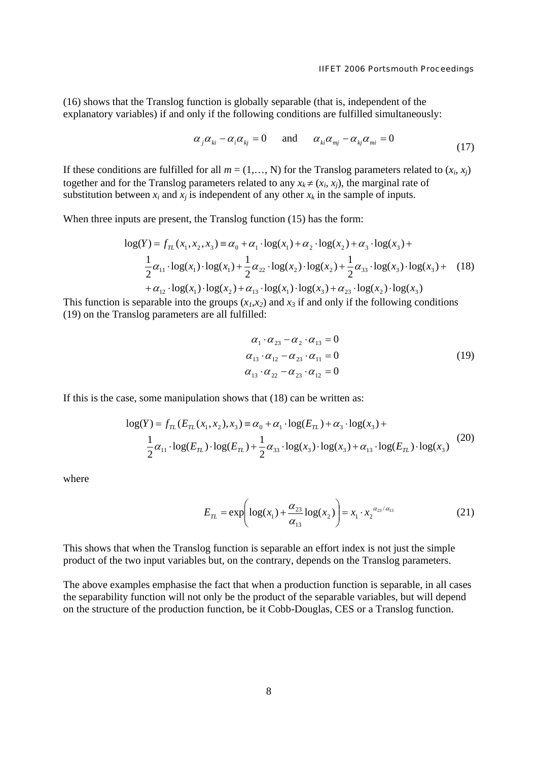(16) shows that the Translog function is globally separable (that is, independent of the explanatory variables) if and only if the following conditions are fulfilled simultaneously:

$$
\alpha_{j}\alpha_{ki} - \alpha_{i}\alpha_{kj} = 0 \quad \text{and} \quad \alpha_{ki}\alpha_{mj} - \alpha_{kj}\alpha_{mi} = 0 \tag{17}
$$

If these conditions are fulfilled for all  $m = (1, \ldots, N)$  for the Translog parameters related to  $(x_i, x_j)$ together and for the Translog parameters related to any  $x_k \neq (x_i, x_j)$ , the marginal rate of substitution between  $x_i$  and  $x_j$  is independent of any other  $x_k$  in the sample of inputs.

When three inputs are present, the Translog function (15) has the form:

$$
\log(Y) = f_{TL}(x_1, x_2, x_3) \equiv \alpha_0 + \alpha_1 \cdot \log(x_1) + \alpha_2 \cdot \log(x_2) + \alpha_3 \cdot \log(x_3) + \frac{1}{2}\alpha_{11} \cdot \log(x_1) \cdot \log(x_1) + \frac{1}{2}\alpha_{22} \cdot \log(x_2) \cdot \log(x_2) + \frac{1}{2}\alpha_{33} \cdot \log(x_3) \cdot \log(x_3) + \alpha_{12} \cdot \log(x_1) \cdot \log(x_2) + \alpha_{13} \cdot \log(x_1) \cdot \log(x_3) + \alpha_{23} \cdot \log(x_2) \cdot \log(x_3)
$$
\n(18)

This function is separable into the groups  $(x_1, x_2)$  and  $x_3$  if and only if the following conditions (19) on the Translog parameters are all fulfilled:

$$
\alpha_1 \cdot \alpha_{23} - \alpha_2 \cdot \alpha_{13} = 0 \n\alpha_{13} \cdot \alpha_{12} - \alpha_{23} \cdot \alpha_{11} = 0 \n\alpha_{13} \cdot \alpha_{22} - \alpha_{23} \cdot \alpha_{12} = 0
$$
\n(19)

If this is the case, some manipulation shows that (18) can be written as:

$$
log(Y) = f_{TL}(E_{TL}(x_1, x_2), x_3) \equiv \alpha_0 + \alpha_1 \cdot log(E_{TL}) + \alpha_3 \cdot log(x_3) +
$$
  
\n
$$
\frac{1}{2}\alpha_{11} \cdot log(E_{TL}) \cdot log(E_{TL}) + \frac{1}{2}\alpha_{33} \cdot log(x_3) \cdot log(x_3) + \alpha_{13} \cdot log(E_{TL}) \cdot log(x_3)
$$
\n(20)

where

$$
E_{TL} = \exp\left(\log(x_1) + \frac{\alpha_{23}}{\alpha_{13}} \log(x_2)\right) = x_1 \cdot x_2^{\alpha_{23}/\alpha_{13}} \tag{21}
$$

This shows that when the Translog function is separable an effort index is not just the simple product of the two input variables but, on the contrary, depends on the Translog parameters.

The above examples emphasise the fact that when a production function is separable, in all cases the separability function will not only be the product of the separable variables, but will depend on the structure of the production function, be it Cobb-Douglas, CES or a Translog function.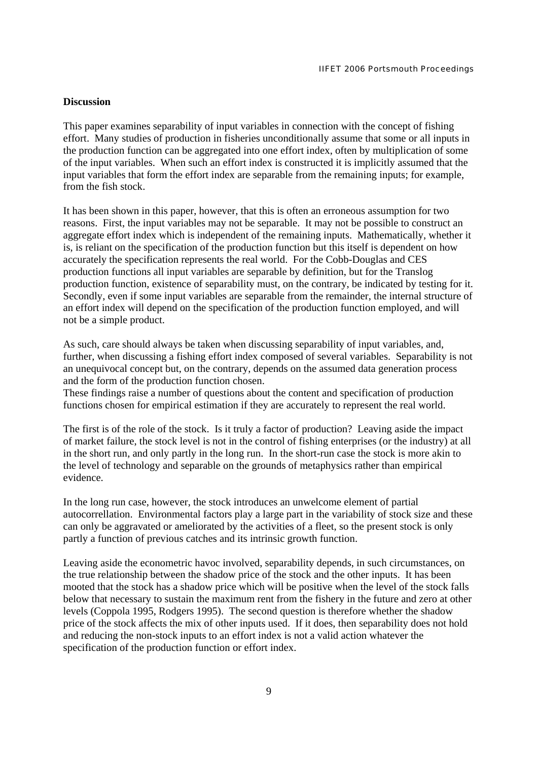## **Discussion**

This paper examines separability of input variables in connection with the concept of fishing effort. Many studies of production in fisheries unconditionally assume that some or all inputs in the production function can be aggregated into one effort index, often by multiplication of some of the input variables. When such an effort index is constructed it is implicitly assumed that the input variables that form the effort index are separable from the remaining inputs; for example, from the fish stock.

It has been shown in this paper, however, that this is often an erroneous assumption for two reasons. First, the input variables may not be separable. It may not be possible to construct an aggregate effort index which is independent of the remaining inputs. Mathematically, whether it is, is reliant on the specification of the production function but this itself is dependent on how accurately the specification represents the real world. For the Cobb-Douglas and CES production functions all input variables are separable by definition, but for the Translog production function, existence of separability must, on the contrary, be indicated by testing for it. Secondly, even if some input variables are separable from the remainder, the internal structure of an effort index will depend on the specification of the production function employed, and will not be a simple product.

As such, care should always be taken when discussing separability of input variables, and, further, when discussing a fishing effort index composed of several variables. Separability is not an unequivocal concept but, on the contrary, depends on the assumed data generation process and the form of the production function chosen.

These findings raise a number of questions about the content and specification of production functions chosen for empirical estimation if they are accurately to represent the real world.

The first is of the role of the stock. Is it truly a factor of production? Leaving aside the impact of market failure, the stock level is not in the control of fishing enterprises (or the industry) at all in the short run, and only partly in the long run. In the short-run case the stock is more akin to the level of technology and separable on the grounds of metaphysics rather than empirical evidence.

In the long run case, however, the stock introduces an unwelcome element of partial autocorrellation. Environmental factors play a large part in the variability of stock size and these can only be aggravated or ameliorated by the activities of a fleet, so the present stock is only partly a function of previous catches and its intrinsic growth function.

Leaving aside the econometric havoc involved, separability depends, in such circumstances, on the true relationship between the shadow price of the stock and the other inputs. It has been mooted that the stock has a shadow price which will be positive when the level of the stock falls below that necessary to sustain the maximum rent from the fishery in the future and zero at other levels (Coppola 1995, Rodgers 1995). The second question is therefore whether the shadow price of the stock affects the mix of other inputs used. If it does, then separability does not hold and reducing the non-stock inputs to an effort index is not a valid action whatever the specification of the production function or effort index.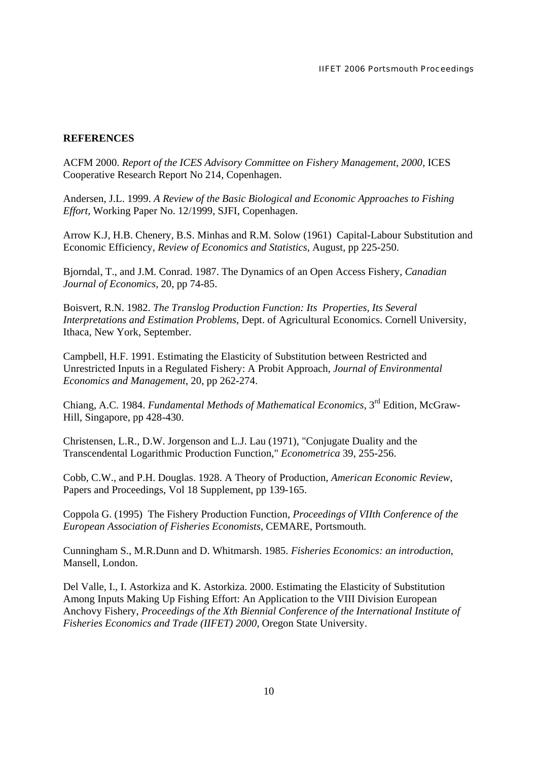# **REFERENCES**

ACFM 2000. *Report of the ICES Advisory Committee on Fishery Management, 2000*, ICES Cooperative Research Report No 214, Copenhagen.

Andersen, J.L. 1999. *A Review of the Basic Biological and Economic Approaches to Fishing Effort,* Working Paper No. 12/1999, SJFI, Copenhagen.

Arrow K.J, H.B. Chenery, B.S. Minhas and R.M. Solow (1961) Capital-Labour Substitution and Economic Efficiency, *Review of Economics and Statistics*, August, pp 225-250.

Bjorndal, T., and J.M. Conrad. 1987. The Dynamics of an Open Access Fishery, *Canadian Journal of Economics*, 20, pp 74-85.

Boisvert, R.N. 1982. *The Translog Production Function: Its Properties, Its Several Interpretations and Estimation Problems*, Dept. of Agricultural Economics. Cornell University, Ithaca, New York, September.

Campbell, H.F. 1991. Estimating the Elasticity of Substitution between Restricted and Unrestricted Inputs in a Regulated Fishery: A Probit Approach, *Journal of Environmental Economics and Management*, 20, pp 262-274.

Chiang, A.C. 1984. *Fundamental Methods of Mathematical Economics*, 3rd Edition, McGraw-Hill, Singapore, pp 428-430.

Christensen, L.R., D.W. Jorgenson and L.J. Lau (1971), "Conjugate Duality and the Transcendental Logarithmic Production Function," *Econometrica* 39, 255-256.

Cobb, C.W., and P.H. Douglas. 1928. A Theory of Production, *American Economic Review*, Papers and Proceedings, Vol 18 Supplement, pp 139-165.

Coppola G. (1995) The Fishery Production Function, *Proceedings of VIIth Conference of the European Association of Fisheries Economists*, CEMARE, Portsmouth.

Cunningham S., M.R.Dunn and D. Whitmarsh. 1985. *Fisheries Economics: an introduction*, Mansell, London.

Del Valle, I., I. Astorkiza and K. Astorkiza. 2000. Estimating the Elasticity of Substitution Among Inputs Making Up Fishing Effort: An Application to the VIII Division European Anchovy Fishery, *Proceedings of the Xth Biennial Conference of the International Institute of Fisheries Economics and Trade (IIFET) 2000*, Oregon State University.